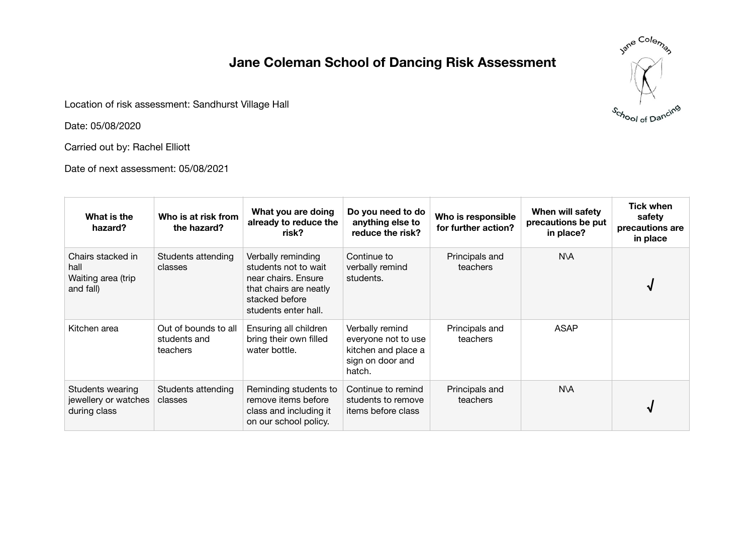## **Jane Coleman School of Dancing Risk Assessment**

Location of risk assessment: Sandhurst Village Hall

Date: 05/08/2020

Carried out by: Rachel Elliott

Date of next assessment: 05/08/2021

| Jane Coleman      |
|-------------------|
|                   |
|                   |
| School of Dancing |

| What is the<br>hazard?                                       | Who is at risk from<br>the hazard?               | What you are doing<br>already to reduce the<br>risk?                                                                                  | Do you need to do<br>anything else to<br>reduce the risk?                                   | Who is responsible<br>for further action? | When will safety<br>precautions be put<br>in place? | <b>Tick when</b><br>safety<br>precautions are<br>in place |
|--------------------------------------------------------------|--------------------------------------------------|---------------------------------------------------------------------------------------------------------------------------------------|---------------------------------------------------------------------------------------------|-------------------------------------------|-----------------------------------------------------|-----------------------------------------------------------|
| Chairs stacked in<br>hall<br>Waiting area (trip<br>and fall) | Students attending<br>classes                    | Verbally reminding<br>students not to wait<br>near chairs. Ensure<br>that chairs are neatly<br>stacked before<br>students enter hall. | Continue to<br>verbally remind<br>students.                                                 | Principals and<br>teachers                | N\A                                                 |                                                           |
| Kitchen area                                                 | Out of bounds to all<br>students and<br>teachers | Ensuring all children<br>bring their own filled<br>water bottle.                                                                      | Verbally remind<br>everyone not to use<br>kitchen and place a<br>sign on door and<br>hatch. | Principals and<br>teachers                | <b>ASAP</b>                                         |                                                           |
| Students wearing<br>jewellery or watches<br>during class     | Students attending<br>classes                    | Reminding students to<br>remove items before<br>class and including it<br>on our school policy.                                       | Continue to remind<br>students to remove<br>items before class                              | Principals and<br>teachers                | N\A                                                 |                                                           |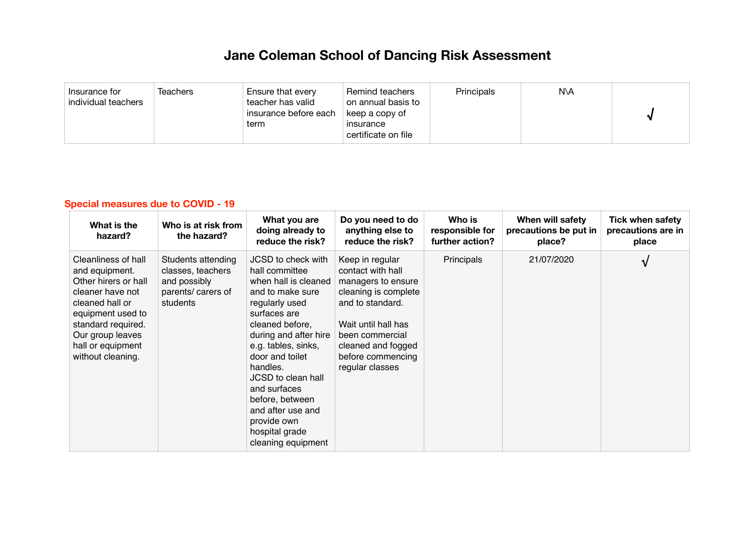## **Jane Coleman School of Dancing Risk Assessment**

| Teachers<br>Insurance for<br>individual teachers | Ensure that every<br>teacher has valid<br>insurance before each<br>term | Remind teachers<br>on annual basis to<br>keep a copy of<br>insurance<br>certificate on file | Principals | N\A |  |
|--------------------------------------------------|-------------------------------------------------------------------------|---------------------------------------------------------------------------------------------|------------|-----|--|
|--------------------------------------------------|-------------------------------------------------------------------------|---------------------------------------------------------------------------------------------|------------|-----|--|

## **Special measures due to COVID - 19**

| What is the<br>hazard?                                                                                                                                                                                        | Who is at risk from<br>the hazard?                                                        | What you are<br>doing already to<br>reduce the risk?                                                                                                                                                                                                                                                                                                      | Do you need to do<br>anything else to<br>reduce the risk?                                                                                                                                                      | Who is<br>responsible for<br>further action? | When will safety<br>precautions be put in<br>place? | <b>Tick when safety</b><br>precautions are in<br>place |
|---------------------------------------------------------------------------------------------------------------------------------------------------------------------------------------------------------------|-------------------------------------------------------------------------------------------|-----------------------------------------------------------------------------------------------------------------------------------------------------------------------------------------------------------------------------------------------------------------------------------------------------------------------------------------------------------|----------------------------------------------------------------------------------------------------------------------------------------------------------------------------------------------------------------|----------------------------------------------|-----------------------------------------------------|--------------------------------------------------------|
| Cleanliness of hall<br>and equipment.<br>Other hirers or hall<br>cleaner have not<br>cleaned hall or<br>equipment used to<br>standard required.<br>Our group leaves<br>hall or equipment<br>without cleaning. | Students attending<br>classes, teachers<br>and possibly<br>parents/ carers of<br>students | JCSD to check with<br>hall committee<br>when hall is cleaned<br>and to make sure<br>regularly used<br>surfaces are<br>cleaned before,<br>during and after hire<br>e.g. tables, sinks,<br>door and toilet<br>handles.<br>JCSD to clean hall<br>and surfaces<br>before, between<br>and after use and<br>provide own<br>hospital grade<br>cleaning equipment | Keep in regular<br>contact with hall<br>managers to ensure<br>cleaning is complete<br>and to standard.<br>Wait until hall has<br>been commercial<br>cleaned and fogged<br>before commencing<br>regular classes | Principals                                   | 21/07/2020                                          | V                                                      |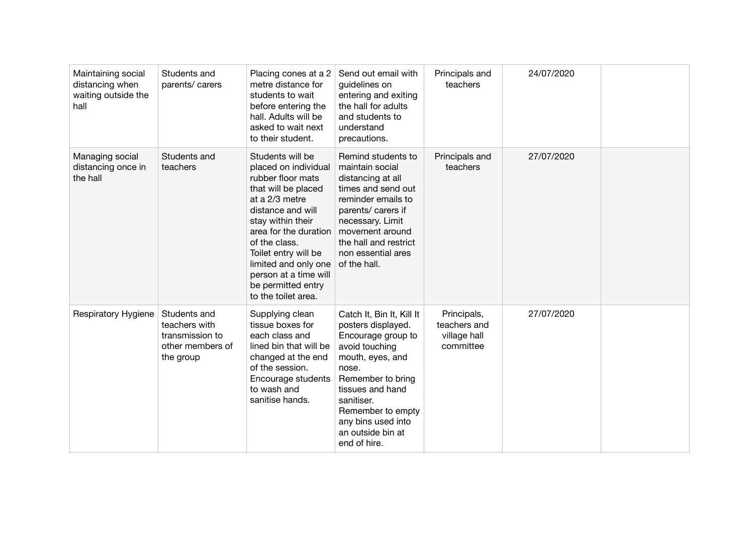| Maintaining social<br>distancing when<br>waiting outside the<br>hall | Students and<br>parents/ carers                                                   | Placing cones at a 2<br>metre distance for<br>students to wait<br>before entering the<br>hall. Adults will be<br>asked to wait next<br>to their student.                                                                                                                                                         | Send out email with<br>guidelines on<br>entering and exiting<br>the hall for adults<br>and students to<br>understand<br>precautions.                                                                                                                        | Principals and<br>teachers                               | 24/07/2020 |  |
|----------------------------------------------------------------------|-----------------------------------------------------------------------------------|------------------------------------------------------------------------------------------------------------------------------------------------------------------------------------------------------------------------------------------------------------------------------------------------------------------|-------------------------------------------------------------------------------------------------------------------------------------------------------------------------------------------------------------------------------------------------------------|----------------------------------------------------------|------------|--|
| Managing social<br>distancing once in<br>the hall                    | Students and<br>teachers                                                          | Students will be<br>placed on individual<br>rubber floor mats<br>that will be placed<br>at a 2/3 metre<br>distance and will<br>stay within their<br>area for the duration<br>of the class.<br>Toilet entry will be<br>limited and only one<br>person at a time will<br>be permitted entry<br>to the toilet area. | Remind students to<br>maintain social<br>distancing at all<br>times and send out<br>reminder emails to<br>parents/ carers if<br>necessary. Limit<br>movement around<br>the hall and restrict<br>non essential ares<br>of the hall.                          | Principals and<br>teachers                               | 27/07/2020 |  |
| Respiratory Hygiene                                                  | Students and<br>teachers with<br>transmission to<br>other members of<br>the group | Supplying clean<br>tissue boxes for<br>each class and<br>lined bin that will be<br>changed at the end<br>of the session.<br>Encourage students<br>to wash and<br>sanitise hands.                                                                                                                                 | Catch It, Bin It, Kill It<br>posters displayed.<br>Encourage group to<br>avoid touching<br>mouth, eyes, and<br>nose.<br>Remember to bring<br>tissues and hand<br>sanitiser.<br>Remember to empty<br>any bins used into<br>an outside bin at<br>end of hire. | Principals,<br>teachers and<br>village hall<br>committee | 27/07/2020 |  |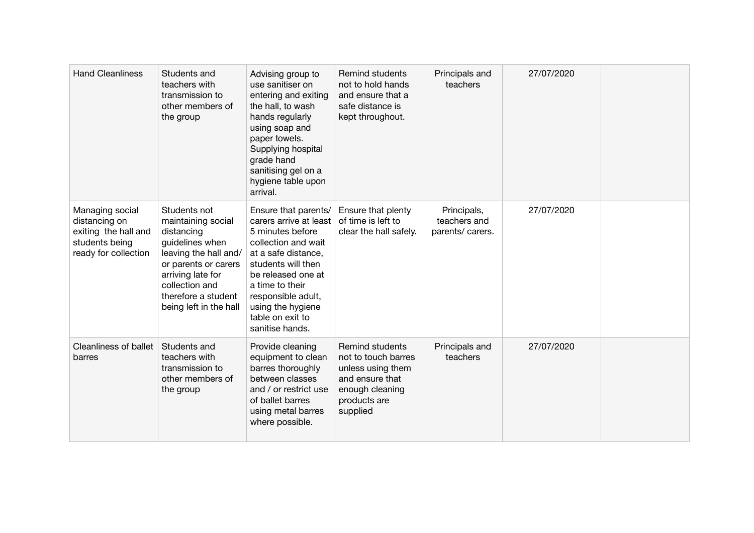| <b>Hand Cleanliness</b>                                                                            | Students and<br>teachers with<br>transmission to<br>other members of<br>the group                                                                                                                            | Advising group to<br>use sanitiser on<br>entering and exiting<br>the hall, to wash<br>hands regularly<br>using soap and<br>paper towels.<br>Supplying hospital<br>grade hand<br>sanitising gel on a<br>hygiene table upon<br>arrival.                             | <b>Remind students</b><br>not to hold hands<br>and ensure that a<br>safe distance is<br>kept throughout.                      | Principals and<br>teachers                     | 27/07/2020 |  |
|----------------------------------------------------------------------------------------------------|--------------------------------------------------------------------------------------------------------------------------------------------------------------------------------------------------------------|-------------------------------------------------------------------------------------------------------------------------------------------------------------------------------------------------------------------------------------------------------------------|-------------------------------------------------------------------------------------------------------------------------------|------------------------------------------------|------------|--|
| Managing social<br>distancing on<br>exiting the hall and<br>students being<br>ready for collection | Students not<br>maintaining social<br>distancing<br>guidelines when<br>leaving the hall and/<br>or parents or carers<br>arriving late for<br>collection and<br>therefore a student<br>being left in the hall | Ensure that parents/<br>carers arrive at least<br>5 minutes before<br>collection and wait<br>at a safe distance,<br>students will then<br>be released one at<br>a time to their<br>responsible adult,<br>using the hygiene<br>table on exit to<br>sanitise hands. | Ensure that plenty<br>of time is left to<br>clear the hall safely.                                                            | Principals,<br>teachers and<br>parents/carers. | 27/07/2020 |  |
| <b>Cleanliness of ballet</b><br>barres                                                             | Students and<br>teachers with<br>transmission to<br>other members of<br>the group                                                                                                                            | Provide cleaning<br>equipment to clean<br>barres thoroughly<br>between classes<br>and / or restrict use<br>of ballet barres<br>using metal barres<br>where possible.                                                                                              | Remind students<br>not to touch barres<br>unless using them<br>and ensure that<br>enough cleaning<br>products are<br>supplied | Principals and<br>teachers                     | 27/07/2020 |  |